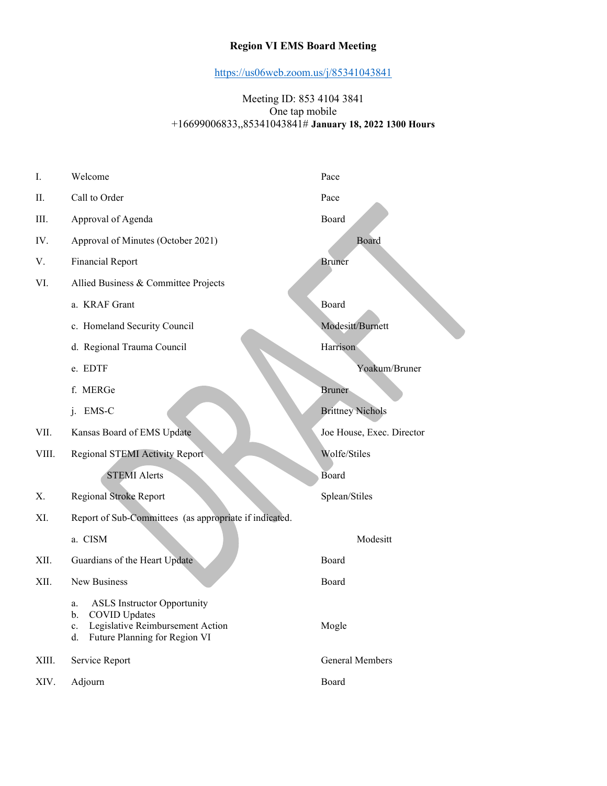## Region VI EMS Board Meeting

https://us06web.zoom.us/j/85341043841

#### Meeting ID: 853 4104 3841 One tap mobile +16699006833,,85341043841# January 18, 2022 1300 Hours

| Ι.    | Welcome                                                                                                                                       | Pace                      |
|-------|-----------------------------------------------------------------------------------------------------------------------------------------------|---------------------------|
| П.    | Call to Order                                                                                                                                 | Pace                      |
| Ш.    | Approval of Agenda                                                                                                                            | Board                     |
| IV.   | Approval of Minutes (October 2021)                                                                                                            | Board                     |
| V.    | <b>Financial Report</b>                                                                                                                       | <b>Bruner</b>             |
| VI.   | Allied Business & Committee Projects                                                                                                          |                           |
|       | a. KRAF Grant                                                                                                                                 | Board                     |
|       | c. Homeland Security Council                                                                                                                  | Modesitt/Burnett          |
|       | d. Regional Trauma Council                                                                                                                    | Harrison                  |
|       | e. EDTF                                                                                                                                       | Yoakum/Bruner             |
|       | f. MERGe                                                                                                                                      | <b>Bruner</b>             |
|       | j. EMS-C                                                                                                                                      | <b>Brittney Nichols</b>   |
| VII.  | Kansas Board of EMS Update                                                                                                                    | Joe House, Exec. Director |
| VIII. | Regional STEMI Activity Report                                                                                                                | Wolfe/Stiles              |
|       | <b>STEMI</b> Alerts                                                                                                                           | Board                     |
| Х.    | Regional Stroke Report                                                                                                                        | Splean/Stiles             |
| XI.   | Report of Sub-Committees (as appropriate if indicated.                                                                                        |                           |
|       | a. CISM                                                                                                                                       | Modesitt                  |
| XII.  | Guardians of the Heart Update                                                                                                                 | Board                     |
| XII.  | <b>New Business</b>                                                                                                                           | Board                     |
|       | <b>ASLS</b> Instructor Opportunity<br>a.<br>b. COVID Updates<br>Legislative Reimbursement Action<br>c.<br>Future Planning for Region VI<br>d. | Mogle                     |
| XIII. | Service Report                                                                                                                                | General Members           |
| XIV.  | Adjourn                                                                                                                                       | Board                     |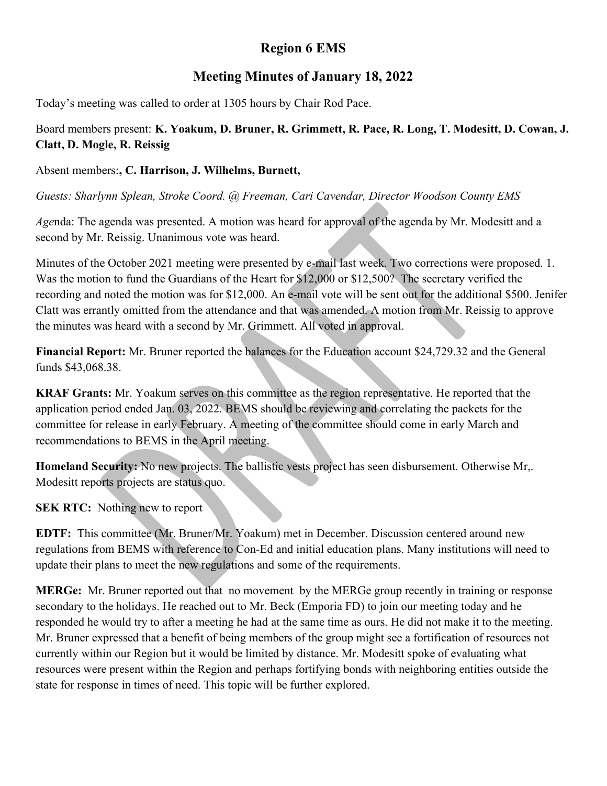# Region 6 EMS

# Meeting Minutes of January 18, 2022

Today's meeting was called to order at 1305 hours by Chair Rod Pace.

# Board members present: K. Yoakum, D. Bruner, R. Grimmett, R. Pace, R. Long, T. Modesitt, D. Cowan, J. Clatt, D. Mogle, R. Reissig

### Absent members:, C. Harrison, J. Wilhelms, Burnett,

Guests: Sharlynn Splean, Stroke Coord. @ Freeman, Cari Cavendar, Director Woodson County EMS

Agenda: The agenda was presented. A motion was heard for approval of the agenda by Mr. Modesitt and a second by Mr. Reissig. Unanimous vote was heard.

Minutes of the October 2021 meeting were presented by e-mail last week. Two corrections were proposed. 1. Was the motion to fund the Guardians of the Heart for \$12,000 or \$12,500? The secretary verified the recording and noted the motion was for \$12,000. An e-mail vote will be sent out for the additional \$500. Jenifer Clatt was errantly omitted from the attendance and that was amended. A motion from Mr. Reissig to approve the minutes was heard with a second by Mr. Grimmett. All voted in approval.

Financial Report: Mr. Bruner reported the balances for the Education account \$24,729.32 and the General funds \$43,068.38.

KRAF Grants: Mr. Yoakum serves on this committee as the region representative. He reported that the application period ended Jan. 03, 2022. BEMS should be reviewing and correlating the packets for the committee for release in early February. A meeting of the committee should come in early March and recommendations to BEMS in the April meeting.

Homeland Security: No new projects. The ballistic vests project has seen disbursement. Otherwise Mr,. Modesitt reports projects are status quo.

**SEK RTC:** Nothing new to report

EDTF: This committee (Mr. Bruner/Mr. Yoakum) met in December. Discussion centered around new regulations from BEMS with reference to Con-Ed and initial education plans. Many institutions will need to update their plans to meet the new regulations and some of the requirements.

MERGe: Mr. Bruner reported out that no movement by the MERGe group recently in training or response secondary to the holidays. He reached out to Mr. Beck (Emporia FD) to join our meeting today and he responded he would try to after a meeting he had at the same time as ours. He did not make it to the meeting. Mr. Bruner expressed that a benefit of being members of the group might see a fortification of resources not currently within our Region but it would be limited by distance. Mr. Modesitt spoke of evaluating what resources were present within the Region and perhaps fortifying bonds with neighboring entities outside the state for response in times of need. This topic will be further explored.